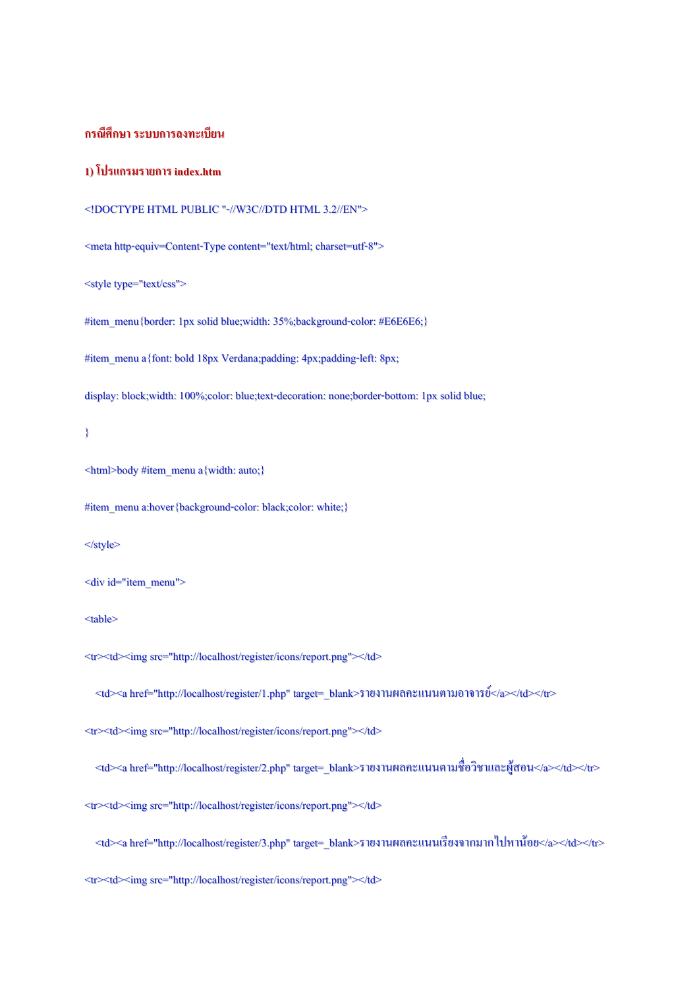## **กรณีศึกษา ระบบการลงทะเบียน**

### **1) โปรแกรมรายการ index.htm**

```
<!DOCTYPE HTML PUBLIC "-//W3C//DTD HTML 3.2//EN">
```
<metahttp-equiv=Content-Type content="text/html; charset=utf-8">

<style type="text/css">

#item\_menu{border: 1px solid blue;width: 35%;background-color: #E6E6E6;}

#item\_menu a{font: bold 18px Verdana;padding: 4px;padding-left: 8px;

display: block;width: 100%;color: blue;text-decoration: none;border-bottom: 1px solid blue;

}

<html>body #item\_menu a{width: auto;}

#item\_menu a:hover{background-color: black;color: white;}

#### </style>

<div id="item\_menu">

<table>

<tr><td><img src="http://localhost/register/icons/report.png"></td>

<td><ahref="http://localhost/register/1.php" target=\_blank>รายงานผลคะแนนตามอาจารย์</a></td></tr>

<tr><td><img src="http://localhost/register/icons/report.png"></td>

<td><ahref="http://localhost/register/2.php" target=\_blank>รายงานผลคะแนนตามชื่อวิชาและผู้สอน</a></td></tr>

<tr><td><img src="http://localhost/register/icons/report.png"></td>

<td><ahref="http://localhost/register/3.php" target=\_blank>รายงานผลคะแนนเรียงจากมากไปหาน้อย</a></td></tr>

<tr><td><img src="http://localhost/register/icons/report.png"></td>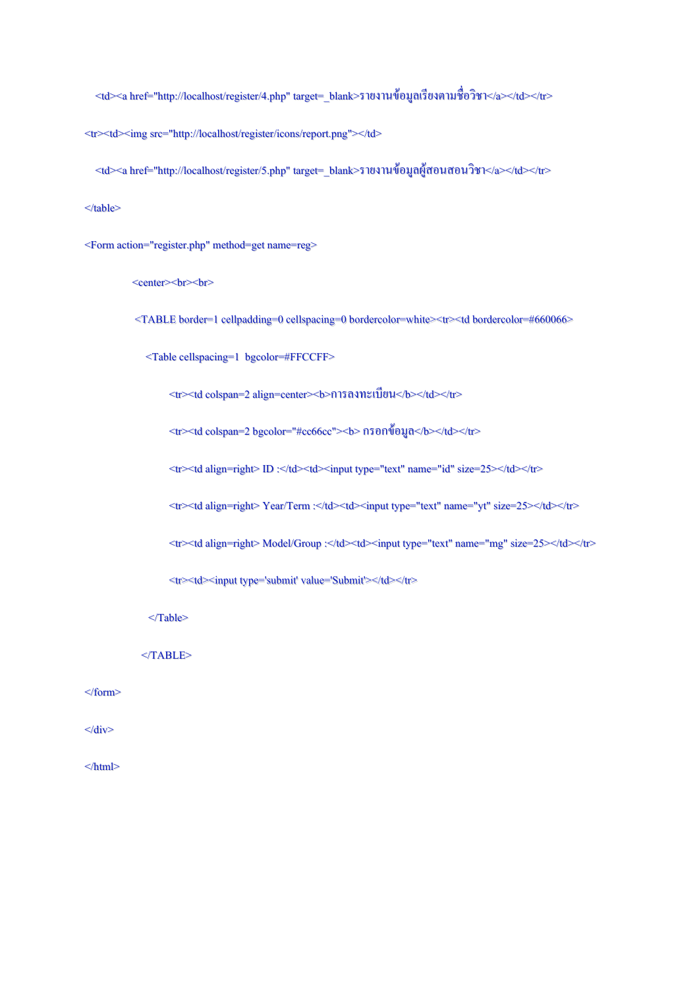<td><ahref="http://localhost/register/4.php" target=\_blank>รายงานข้อมูลเรียงตามชื่อวิชา</a></td></tr>

<tr>>>>>><td><img src="http://localhost/register/icons/report.png"></td>

<td><ahref="http://localhost/register/5.php" target=\_blank>รายงานข้อมูลผู้สอนสอนวิชา</a></td></tr>

</table>

<Form action="register.php" method=getname=reg>

<center> br> br>

<TABLE border=1 cellpadding=0 cellspacing=0 bordercolor=white><tr><td bordercolor=#660066>

<Table cellspacing=1 bgcolor=#FFCCFF>

<tr><td colspan=2 align=center><b>การลงทะเบียน</b></td></tr>

<tr><td colspan=2 bgcolor="#cc66cc"><b>กรอกข้อมูล</b></td></tr>

<tr><td align=right>ID :</td><td><input type="text" name="id" size=25></td></tr>

<tr><td align=right> Year/Term:</td><td><input type="text" name="yt" size=25></td></tr>

<tr>>td align=right> Model/Group:</td><td><input type="text" name="mg" size=25></td></tr>

<tr><td><input type='submit' value='Submit'></td></tr>

</Table>

</TABLE>

</form>

</div>

 $<$ /html $>$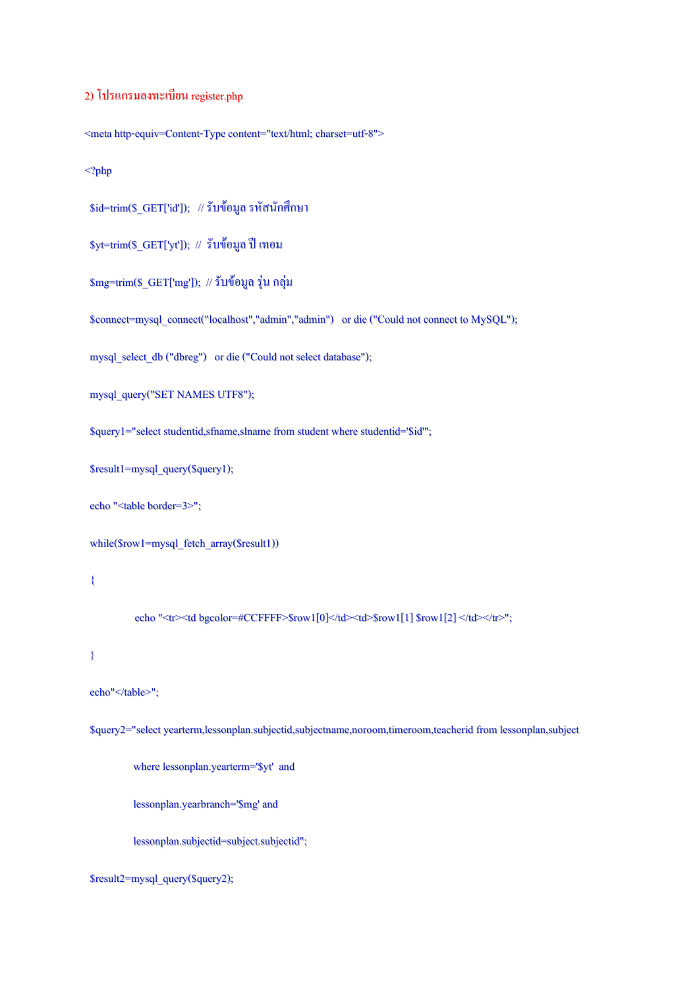# 2)โปรแกรมลงทะเบียน register.php

<metahttp-equiv=Content-Type content="text/html; charset=utf-8">

<?php

 $\delta$ id=trim( $\delta$ \_GET['id']); // รับข้อมูล รหัสนักศึกษา

 $$yt=trim($GET['yt'])$ ; // รับข้อมูล ปี เทอม

\$mg=trim(\$\_GET['mg']); //รับข้อมูล รุ่น กลุ่ม

\$connect=mysql\_connect("localhost","admin","admin") ordie ("Could not connect to MySQL");

mysql\_select\_db ("dbreg") or die ("Could not select database");

mysql\_query("SET NAMES UTF8");

\$query1="select studentid,sfname,slname from student where studentid='\$id'";

\$result1=mysql\_query(\$query1);

echo "<table border=3>";

while(\$row1=mysql\_fetch\_array(\$result1))

{

echo "<tr><td bgcolor=#CCFFFF>\$row1[0]</td><td>\$row1[1] \$row1[2] </td></tr>";

}

```
echo"</table>";
```
\$query2="selectyearterm,lessonplan.subjectid,subjectname,noroom,timeroom,teacherid from lessonplan,subject

where lessonplan.yearterm='\$yt' and

lessonplan.yearbranch='\$mg' and

lessonplan.subjectid=subject.subjectid";

\$result2=mysql\_query(\$query2);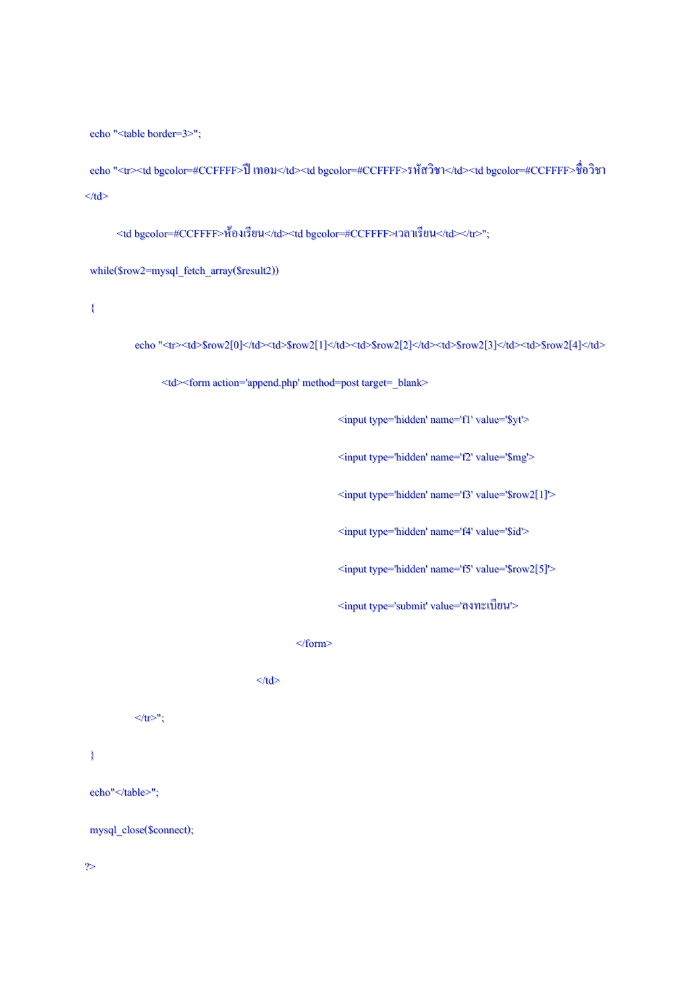echo "<table border=3>";

echo "<tr><td bgcolor=#CCFFFF>ปี เทอม</td><td bgcolor=#CCFFFF>รหัสวิชา</td><tdbgcolor=#CCFFFF>ชื่อวิชา  $\ll$ /td $>$ 

<td bgcolor=#CCFFFF>ห้องเรียน</td><td bgcolor=#CCFFFF>เวลาเรียน</td></tr>";

while(\$row2=mysql\_fetch\_array(\$result2))

{

echo "<tr><td>\$row2[0]</td><td>\$row2[1]</td><td>\$row2[2]</td><td>\$row2[3]</td><td>\$row2[4]</td>

<td><form action='append.php' method=post target=\_blank>

<input type='hidden' name='f1' value='\$yt'>

<input type='hidden' name='f2' value='\$mg'>

<input type='hidden' name='f3' value='\$row2[1]'>

<input type='hidden' name='f4' value='\$id'>

<input type='hidden' name='f5' value='\$row2[5]'>

<input type='submit' value='ลงทะเบียน'>

</form>

 $\langle t \, d \rangle$ 

 $\langle t$ tr $>$ ";

}

echo"</table>";

mysql\_close(\$connect);

?>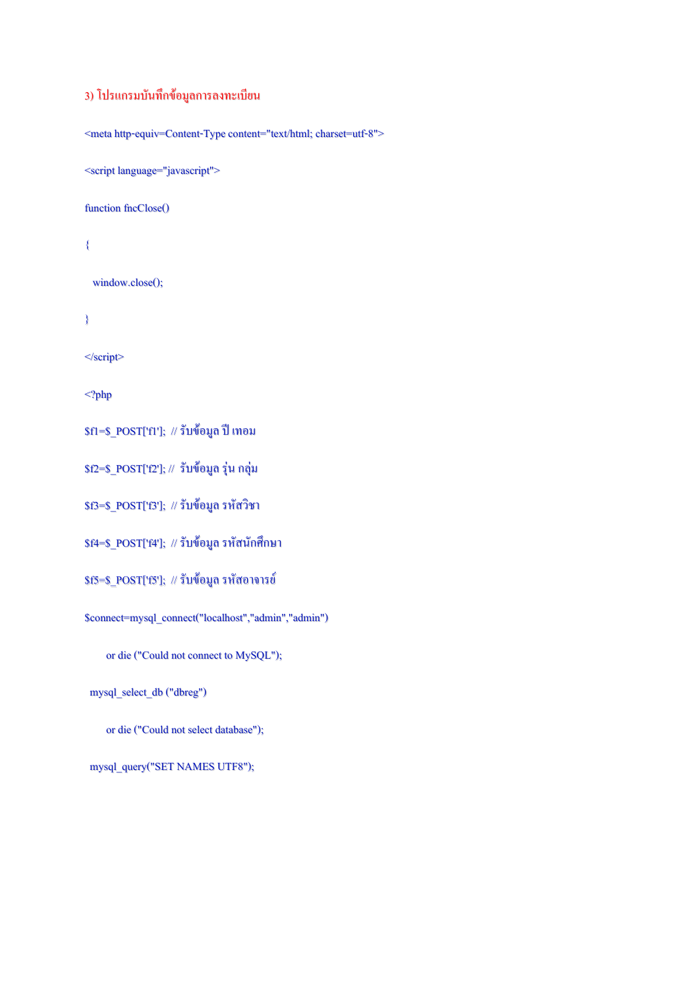# 3)โปรแกรมบันทึกข้อมูลการลงทะเบียน

<metahttp-equiv=Content-Type content="text/html; charset=utf-8">

<script language="javascript">

function fncClose()

{

window.close();

}

</script>

<?php

\$f1=\$\_POST['f1']; // รับข้อมูล ปี เทอม

\$f2=\$\_POST['f2']; // รับข้อมูล รุ่น กลุ่ม

\$f3=\$\_POST['f3']; // รับข้อมูล รหัสวิชา

\$f4=\$\_POST['f4']; // รับข้อมูล รหัสนักศึกษา

\$f5=\$\_POST['f5']; // รับข้อมูล รหัสอาจารย์

\$connect=mysql\_connect("localhost","admin","admin")

or die ("Could not connect to MySQL");

mysql\_select\_db ("dbreg")

or die ("Could not select database");

mysql\_query("SET NAMES UTF8");